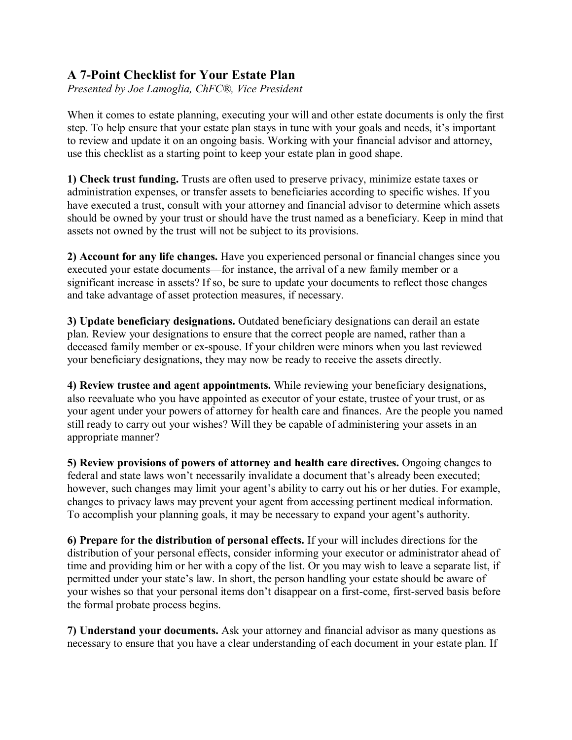## **A 7-Point Checklist for Your Estate Plan**

*Presented by Joe Lamoglia, ChFC®, Vice President*

When it comes to estate planning, executing your will and other estate documents is only the first step. To help ensure that your estate plan stays in tune with your goals and needs, it's important to review and update it on an ongoing basis. Working with your financial advisor and attorney, use this checklist as a starting point to keep your estate plan in good shape.

**1) Check trust funding.** Trusts are often used to preserve privacy, minimize estate taxes or administration expenses, or transfer assets to beneficiaries according to specific wishes. If you have executed a trust, consult with your attorney and financial advisor to determine which assets should be owned by your trust or should have the trust named as a beneficiary. Keep in mind that assets not owned by the trust will not be subject to its provisions.

**2) Account for any life changes.** Have you experienced personal or financial changes since you executed your estate documents—for instance, the arrival of a new family member or a significant increase in assets? If so, be sure to update your documents to reflect those changes and take advantage of asset protection measures, if necessary.

**3) Update beneficiary designations.** Outdated beneficiary designations can derail an estate plan. Review your designations to ensure that the correct people are named, rather than a deceased family member or ex-spouse. If your children were minors when you last reviewed your beneficiary designations, they may now be ready to receive the assets directly.

**4) Review trustee and agent appointments.** While reviewing your beneficiary designations, also reevaluate who you have appointed as executor of your estate, trustee of your trust, or as your agent under your powers of attorney for health care and finances. Are the people you named still ready to carry out your wishes? Will they be capable of administering your assets in an appropriate manner?

**5) Review provisions of powers of attorney and health care directives.** Ongoing changes to federal and state laws won't necessarily invalidate a document that's already been executed; however, such changes may limit your agent's ability to carry out his or her duties. For example, changes to privacy laws may prevent your agent from accessing pertinent medical information. To accomplish your planning goals, it may be necessary to expand your agent's authority.

**6) Prepare for the distribution of personal effects.** If your will includes directions for the distribution of your personal effects, consider informing your executor or administrator ahead of time and providing him or her with a copy of the list. Or you may wish to leave a separate list, if permitted under your state's law. In short, the person handling your estate should be aware of your wishes so that your personal items don't disappear on a first-come, first-served basis before the formal probate process begins.

**7) Understand your documents.** Ask your attorney and financial advisor as many questions as necessary to ensure that you have a clear understanding of each document in your estate plan. If